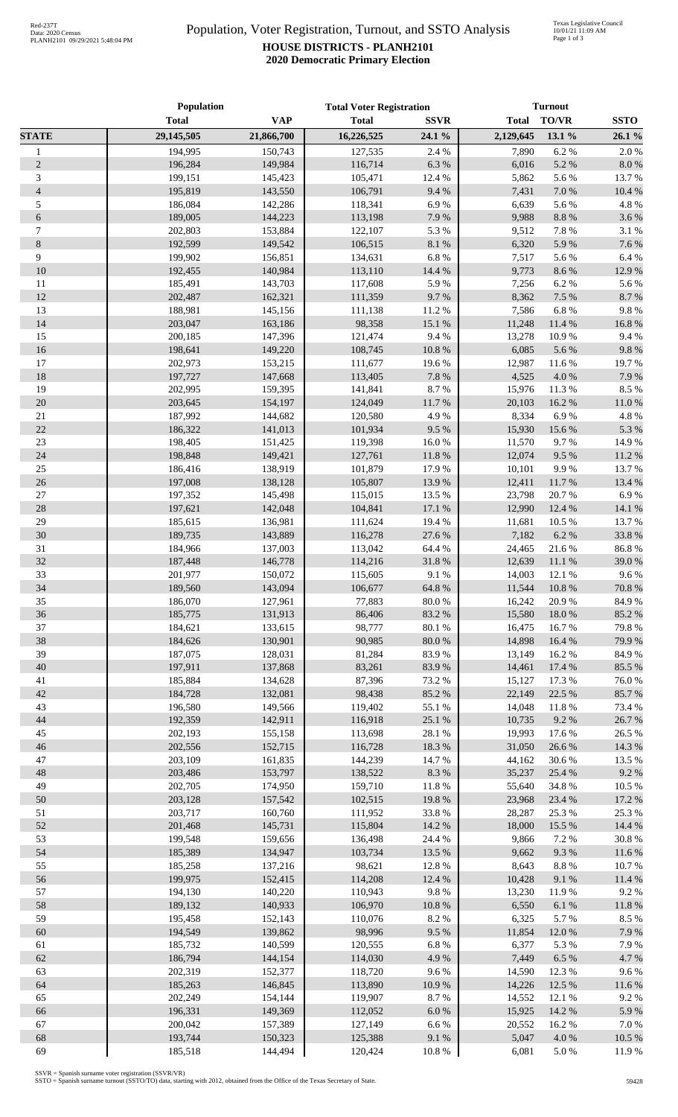## Population, Voter Registration, Turnout, and SSTO Analysis **HOUSE DISTRICTS - PLANH2101 2020 Democratic Primary Election**

|                                | <b>Population</b>  |                    | <b>Total Voter Registration</b> |                   | <b>Turnout</b>   |                 |                |
|--------------------------------|--------------------|--------------------|---------------------------------|-------------------|------------------|-----------------|----------------|
|                                | <b>Total</b>       | <b>VAP</b>         | <b>Total</b>                    | <b>SSVR</b>       | <b>Total</b>     | <b>TO/VR</b>    | <b>SSTO</b>    |
| <b>STATE</b>                   | 29,145,505         | 21,866,700         | 16,226,525                      | 24.1 %            | 2,129,645        | 13.1 %          | 26.1 %         |
| $\mathbf{1}$                   | 194,995            | 150,743            | 127,535                         | 2.4 %             | 7,890            | 6.2%            | 2.0%           |
| $\sqrt{2}$                     | 196,284            | 149,984            | 116,714                         | 6.3%              | 6,016            | 5.2 %           | 8.0%           |
| 3                              | 199,151            | 145,423            | 105,471                         | 12.4 %            | 5,862            | 5.6%            | 13.7%          |
| $\overline{4}$                 | 195,819            | 143,550            | 106,791                         | 9.4%              | 7,431            | 7.0 %           | 10.4 %         |
| 5                              | 186,084            | 142,286            | 118,341                         | 6.9%              | 6,639            | 5.6%            | 4.8%           |
| $\sqrt{6}$<br>$\boldsymbol{7}$ | 189,005<br>202,803 | 144,223            | 113,198                         | 7.9%              | 9,988            | 8.8 %<br>7.8 %  | 3.6%<br>3.1 %  |
| $\,8\,$                        | 192,599            | 153,884<br>149,542 | 122,107<br>106,515              | 5.3 %<br>$8.1~\%$ | 9,512<br>6,320   | 5.9%            | 7.6%           |
| 9                              | 199,902            | 156,851            | 134,631                         | $6.8~\%$          | 7,517            | 5.6%            | 6.4%           |
| 10                             | 192,455            | 140,984            | 113,110                         | 14.4 %            | 9,773            | 8.6%            | 12.9%          |
| 11                             | 185,491            | 143,703            | 117,608                         | 5.9%              | 7,256            | 6.2%            | 5.6%           |
| 12                             | 202,487            | 162,321            | 111,359                         | 9.7%              | 8,362            | 7.5 %           | 8.7%           |
| 13                             | 188,981            | 145,156            | 111,138                         | 11.2 %            | 7,586            | 6.8%            | 9.8%           |
| 14                             | 203,047            | 163,186            | 98,358                          | 15.1 %            | 11,248           | 11.4 %          | 16.8%          |
| 15                             | 200,185            | 147,396            | 121,474                         | 9.4%              | 13,278           | 10.9%           | 9.4%           |
| $16\,$                         | 198,641            | 149,220            | 108,745                         | $10.8~\%$         | 6,085            | 5.6%            | 9.8%           |
| 17                             | 202,973            | 153,215            | 111,677                         | 19.6%             | 12,987           | 11.6%           | 19.7%          |
| 18                             | 197,727            | 147,668            | 113,405                         | $7.8~\%$          | 4,525            | 4.0%            | 7.9%           |
| 19                             | 202,995            | 159,395            | 141,841                         | $8.7~\%$          | 15,976           | 11.3%           | 8.5 %          |
| 20                             | 203,645            | 154,197            | 124,049                         | 11.7%             | 20,103           | 16.2%           | 11.0%          |
| $21\,$                         | 187,992            | 144,682            | 120,580                         | 4.9%              | 8,334            | 6.9%            | 4.8%           |
| 22                             | 186,322            | 141,013            | 101,934                         | 9.5 %             | 15,930           | 15.6%           | 5.3 %          |
| 23                             | 198,405            | 151,425            | 119,398                         | $16.0\ \%$        | 11,570           | 9.7%            | 14.9%          |
| 24                             | 198,848            | 149,421            | 127,761                         | $11.8\ \%$        | 12,074           | 9.5%            | 11.2%          |
| $25\,$                         | 186,416            | 138,919            | 101,879                         | 17.9%             | 10,101           | 9.9%            | 13.7 %         |
| 26                             | 197,008            | 138,128            | 105,807                         | 13.9%             | 12,411           | 11.7%           | 13.4 %         |
| 27                             | 197,352            | 145,498            | 115,015                         | 13.5 %            | 23,798           | 20.7%           | 6.9%           |
| 28                             | 197,621            | 142,048            | 104,841                         | 17.1%             | 12,990           | 12.4 %          | 14.1 %         |
| 29                             | 185,615            | 136,981            | 111,624                         | 19.4%             | 11,681           | 10.5 %          | 13.7%          |
| 30                             | 189,735            | 143,889            | 116,278                         | 27.6 %            | 7,182            | 6.2%            | 33.8%          |
| 31                             | 184,966            | 137,003            | 113,042                         | 64.4 %            | 24,465           | 21.6%           | 86.8%          |
| 32                             | 187,448            | 146,778            | 114,216                         | $31.8\ \%$        | 12,639           | 11.1 %          | 39.0%          |
| 33                             | 201,977            | 150,072            | 115,605                         | 9.1%              | 14,003           | 12.1 %          | 9.6%           |
| 34                             | 189,560            | 143,094            | 106,677                         | 64.8 %            | 11,544           | 10.8%           | 70.8%          |
| 35                             | 186,070            | 127,961            | 77,883                          | 80.0%             | 16,242           | 20.9%           | 84.9%          |
| 36                             | 185,775            | 131,913            | 86,406                          | 83.2%             | 15,580           | 18.0%           | 85.2%          |
| 37<br>38                       | 184,621<br>184,626 | 133,615<br>130,901 | 98,777<br>90,985                | 80.1 %<br>80.0%   | 16,475<br>14,898 | 16.7%<br>16.4 % | 79.8%<br>79.9% |
| 39                             | 187,075            | 128,031            | 81,284                          | 83.9%             | 13,149           | 16.2%           | 84.9%          |
| 40                             | 197,911            | 137,868            | 83,261                          | 83.9%             | 14,461           | 17.4 %          | 85.5 %         |
| 41                             | 185,884            | 134,628            | 87,396                          | 73.2 %            | 15,127           | 17.3 %          | 76.0%          |
| 42                             | 184,728            | 132,081            | 98,438                          | 85.2%             | 22,149           | 22.5 %          | 85.7%          |
| 43                             | 196,580            | 149,566            | 119,402                         | 55.1 %            | 14,048           | 11.8%           | 73.4 %         |
| 44                             | 192,359            | 142,911            | 116,918                         | 25.1 %            | 10,735           | 9.2%            | 26.7%          |
| 45                             | 202,193            | 155,158            | 113,698                         | 28.1 %            | 19,993           | 17.6 %          | 26.5 %         |
| 46                             | 202,556            | 152,715            | 116,728                         | 18.3 %            | 31,050           | 26.6%           | 14.3 %         |
| 47                             | 203,109            | 161,835            | 144,239                         | 14.7 %            | 44,162           | 30.6%           | 13.5 %         |
| 48                             | 203,486            | 153,797            | 138,522                         | $8.3\ \%$         | 35,237           | 25.4 %          | 9.2%           |
| 49                             | 202,705            | 174,950            | 159,710                         | 11.8 %            | 55,640           | 34.8%           | 10.5 %         |
| 50                             | 203,128            | 157,542            | 102,515                         | 19.8%             | 23,968           | 23.4 %          | 17.2 %         |
| 51                             | 203,717            | 160,760            | 111,952                         | 33.8%             | 28,287           | 25.3 %          | 25.3 %         |
| 52                             | 201,468            | 145,731            | 115,804                         | 14.2 %            | 18,000           | 15.5 %          | 14.4 %         |
| 53                             | 199,548            | 159,656            | 136,498                         | 24.4 %            | 9,866            | 7.2 %           | 30.8%          |
| 54                             | 185,389            | 134,947            | 103,734                         | 13.5 %            | 9,662            | 9.3%            | 11.6%          |
| 55                             | 185,258            | 137,216            | 98,621                          | 12.8%             | 8,643            | 8.8 %           | 10.7%          |
| 56                             | 199,975            | 152,415            | 114,208                         | 12.4 %            | 10,428           | 9.1%            | 11.4 %         |
| 57                             | 194,130            | 140,220            | 110,943                         | 9.8%              | 13,230           | 11.9%           | 9.2%           |
| 58                             | 189,132            | 140,933            | 106,970                         | $10.8~\%$         | 6,550            | 6.1%            | 11.8 %         |
| 59                             | 195,458            | 152,143            | 110,076                         | $8.2~\%$          | 6,325            | 5.7%            | 8.5 %          |
| 60                             | 194,549            | 139,862            | 98,996                          | 9.5%              | 11,854           | 12.0%           | 7.9%           |
| 61                             | 185,732            | 140,599            | 120,555                         | $6.8~\%$          | 6,377            | 5.3 %           | 7.9%           |
| 62                             | 186,794            | 144,154            | 114,030                         | 4.9%              | 7,449            | 6.5 %           | 4.7%           |
| 63                             | 202,319            | 152,377            | 118,720                         | 9.6%              | 14,590           | 12.3 %          | 9.6%           |
| 64                             | 185,263            | 146,845            | 113,890                         | 10.9%             | 14,226           | 12.5 %          | 11.6%          |
| 65                             | 202,249            | 154,144            | 119,907                         | 8.7%              | 14,552           | 12.1 %          | 9.2%           |
| 66                             | 196,331            | 149,369            | 112,052                         | $6.0~\%$          | 15,925           | 14.2 %          | 5.9%           |
| 67                             | 200,042            | 157,389            | 127,149                         | $6.6\ \%$         | 20,552           | 16.2%           | 7.0%           |
| 68                             | 193,744            | 150,323            | 125,388                         | 9.1 %             | 5,047            | 4.0%            | 10.5 %         |
| 69                             | 185,518            | 144,494            | 120,424                         | $10.8~\%$         | 6,081            | 5.0%            | 11.9%          |

SSVR = Spanish surname voter registration (SSVR/VR) SSTO = Spanish surname turnout (SSTO/TO) data, starting with 2012, obtained from the Office of the Texas Secretary of State.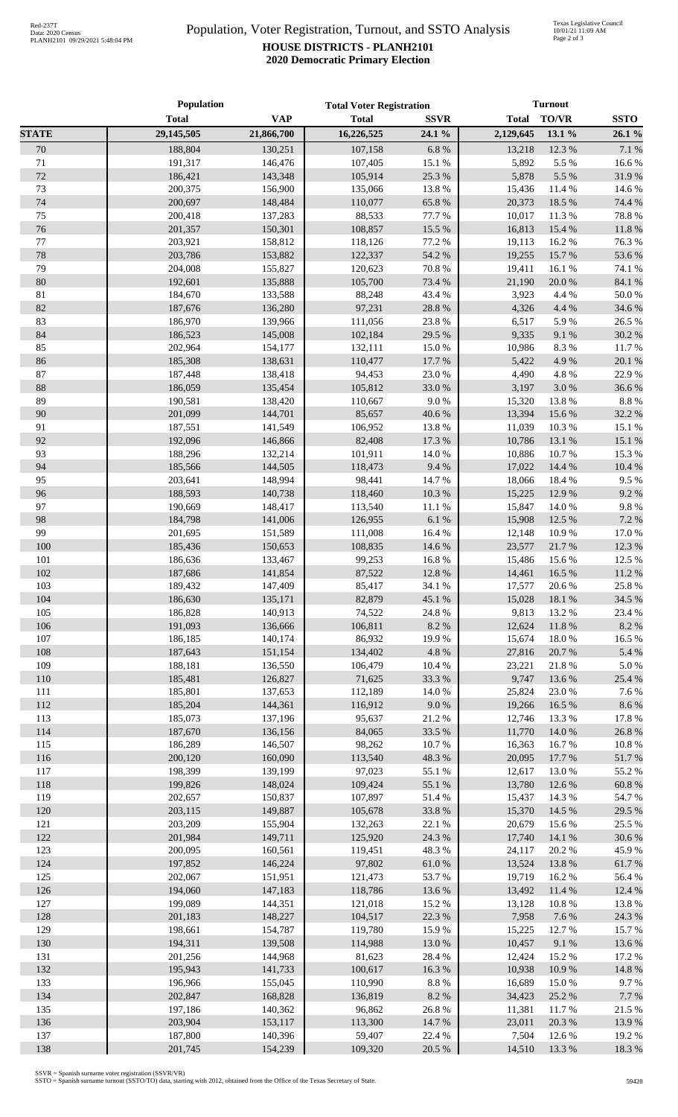## Population, Voter Registration, Turnout, and SSTO Analysis **HOUSE DISTRICTS - PLANH2101 2020 Democratic Primary Election**

|              | <b>Population</b> |            | <b>Total Voter Registration</b> |             | <b>Turnout</b> |               |             |
|--------------|-------------------|------------|---------------------------------|-------------|----------------|---------------|-------------|
|              | <b>Total</b>      | <b>VAP</b> | <b>Total</b>                    | <b>SSVR</b> | <b>Total</b>   | TO/VR         | <b>SSTO</b> |
| <b>STATE</b> | 29,145,505        | 21,866,700 | 16,226,525                      | 24.1 %      | 2,129,645      | 13.1 %        | 26.1%       |
| 70           | 188,804           | 130,251    | 107,158                         | 6.8%        | 13,218         | 12.3 %        | 7.1 %       |
| 71           | 191,317           | 146,476    | 107,405                         | 15.1 %      | 5,892          | 5.5 %         | 16.6%       |
| 72           | 186,421           | 143,348    | 105,914                         | 25.3 %      | 5,878          | 5.5 %         | 31.9%       |
| 73           | 200,375           | 156,900    | 135,066                         | 13.8 %      | 15,436         | 11.4 %        | 14.6 %      |
| 74           | 200,697           | 148,484    | 110,077                         | 65.8%       | 20,373         | 18.5 %        | 74.4 %      |
| 75           | 200,418           | 137,283    | 88,533                          | 77.7 %      | 10,017         | 11.3%         | 78.8%       |
| 76           | 201,357           | 150,301    | 108,857                         | 15.5 %      | 16,813         | 15.4 %        | 11.8%       |
| 77           | 203,921           | 158,812    | 118,126                         | 77.2 %      | 19,113         | 16.2%         | 76.3%       |
| 78           | 203,786           | 153,882    | 122,337                         | 54.2 %      | 19,255         | 15.7%         | 53.6%       |
| 79           | 204,008           | 155,827    | 120,623                         | 70.8 %      | 19,411         | 16.1%         | 74.1 %      |
| 80           | 192,601           | 135,888    | 105,700                         | 73.4 %      | 21,190         | 20.0%         | 84.1 %      |
| 81           | 184,670           | 133,588    | 88,248                          | 43.4 %      | 3,923          | 4.4 %         | 50.0%       |
| $82\,$       | 187,676           | 136,280    | 97,231                          | 28.8%       | 4,326          | 4.4 %         | 34.6%       |
| 83           | 186,970           | 139,966    | 111,056                         | 23.8 %      | 6,517          | 5.9%          | 26.5 %      |
| 84           | 186,523           | 145,008    | 102,184                         | 29.5 %      | 9,335          | 9.1%          | 30.2%       |
| 85           | 202,964           | 154,177    | 132,111                         | 15.0%       | 10,986         | 8.3%          | 11.7%       |
| 86           | 185,308           | 138,631    | 110,477                         | 17.7 %      | 5,422          | 4.9%          | 20.1%       |
| 87           | 187,448           | 138,418    | 94,453                          | 23.0%       | 4,490          | 4.8%          | 22.9%       |
| $88\,$       | 186,059           | 135,454    | 105,812                         | 33.0%       | 3,197          | 3.0%          | 36.6%       |
| 89           | 190,581           | 138,420    | 110,667                         | 9.0 %       | 15,320         | 13.8%         | 8.8 %       |
| 90           | 201,099           | 144,701    | 85,657                          | 40.6 %      | 13,394         | 15.6 %        | 32.2 %      |
| 91           | 187,551           | 141,549    | 106,952                         |             |                |               |             |
| 92           |                   |            |                                 | 13.8 %      | 11,039         | 10.3%         | 15.1 %      |
|              | 192,096           | 146,866    | 82,408                          | 17.3 %      | 10,786         | 13.1 %        | 15.1 %      |
| 93           | 188,296           | 132,214    | 101,911                         | 14.0%       | 10,886         | 10.7%         | 15.3%       |
| 94           | 185,566           | 144,505    | 118,473                         | 9.4%        | 17,022         | 14.4 %        | 10.4 %      |
| 95           | 203,641           | 148,994    | 98,441                          | 14.7%       | 18,066         | 18.4%         | 9.5%        |
| 96           | 188,593           | 140,738    | 118,460                         | $10.3~\%$   | 15,225         | 12.9%         | 9.2%        |
| 97           | 190,669           | 148,417    | 113,540                         | 11.1 %      | 15,847         | 14.0%         | 9.8%        |
| 98           | 184,798           | 141,006    | 126,955                         | 6.1%        | 15,908         | 12.5 %        | 7.2 %       |
| 99           | 201,695           | 151,589    | 111,008                         | 16.4 %      | 12,148         | 10.9%         | 17.0%       |
| 100          | 185,436           | 150,653    | 108,835                         | 14.6 %      | 23,577         | 21.7%         | 12.3 %      |
| 101          | 186,636           | 133,467    | 99,253                          | 16.8%       | 15,486         | 15.6 %        | 12.5 %      |
| 102          | 187,686           | 141,854    | 87,522                          | 12.8 %      | 14,461         | 16.5 %        | 11.2%       |
| 103          | 189,432           | 147,409    | 85,417                          | 34.1 %      | 17,577         | 20.6 %        | 25.8%       |
| 104          | 186,630           | 135,171    | 82,879                          | 45.1 %      |                | 15,028 18.1 % | 34.5 %      |
| 105          | 186,828           | 140,913    | 74,522                          | 24.8%       | 9,813          | 13.2 %        | 23.4 %      |
| 106          | 191,093           | 136,666    | 106,811                         | 8.2%        | 12,624         | 11.8%         | 8.2%        |
| 107          | 186,185           | 140,174    | 86,932                          | 19.9%       | 15,674         | 18.0%         | 16.5 %      |
| 108          | 187,643           | 151,154    | 134,402                         | 4.8 %       | 27,816         | 20.7 %        | 5.4 %       |
| 109          | 188,181           | 136,550    | 106,479                         | 10.4 %      | 23,221         | 21.8%         | 5.0%        |
| 110          | 185,481           | 126,827    | 71,625                          | 33.3%       | 9,747          | 13.6 %        | 25.4 %      |
| 111          | 185,801           | 137,653    | 112,189                         | 14.0 %      | 25,824         | 23.0%         | 7.6 %       |
| 112          | 185,204           | 144,361    | 116,912                         | 9.0 %       | 19,266         | 16.5 %        | 8.6%        |
| 113          | 185,073           | 137,196    | 95,637                          | 21.2%       | 12,746         | 13.3 %        | 17.8%       |
| 114          | 187,670           | 136,156    | 84,065                          | 33.5 %      | 11,770         | 14.0%         | 26.8%       |
| 115          | 186,289           | 146,507    | 98,262                          | 10.7%       | 16,363         | 16.7%         | 10.8%       |
| 116          | 200,120           | 160,090    | 113,540                         | 48.3%       | 20,095         | 17.7 %        | 51.7%       |
| 117          | 198,399           | 139,199    | 97,023                          | 55.1 %      | 12,617         | 13.0%         | 55.2%       |
| 118          | 199,826           | 148,024    | 109,424                         | 55.1 %      | 13,780         | 12.6 %        | 60.8%       |
| 119          | 202,657           | 150,837    | 107,897                         | 51.4%       | 15,437         | 14.3 %        | 54.7%       |
| 120          | 203,115           | 149,887    | 105,678                         | 33.8%       | 15,370         | 14.5 %        | 29.5 %      |
| 121          | 203,209           | 155,904    | 132,263                         | 22.1 %      | 20,679         | 15.6%         | 25.5 %      |
| 122          | 201,984           | 149,711    | 125,920                         | 24.3 %      | 17,740         | 14.1 %        | 30.6%       |
| 123          | 200,095           | 160,561    | 119,451                         | 48.3%       | 24,117         | 20.2 %        | 45.9%       |
| 124          | 197,852           | 146,224    | 97,802                          | 61.0%       | 13,524         | 13.8%         | 61.7%       |
| 125          | 202,067           | 151,951    | 121,473                         | 53.7%       | 19,719         | 16.2%         | 56.4 %      |
| 126          | 194,060           | 147,183    | 118,786                         | 13.6 %      | 13,492         | 11.4 %        | 12.4 %      |
| 127          | 199,089           | 144,351    | 121,018                         | 15.2 %      | 13,128         | 10.8%         | 13.8%       |
| 128          | 201,183           | 148,227    | 104,517                         | 22.3 %      | 7,958          | 7.6 %         | 24.3 %      |
| 129          | 198,661           | 154,787    | 119,780                         | 15.9%       | 15,225         | 12.7 %        | 15.7 %      |
| 130          | 194,311           | 139,508    | 114,988                         | 13.0%       | 10,457         | 9.1%          | 13.6%       |
| 131          | 201,256           | 144,968    | 81,623                          | 28.4%       | 12,424         | 15.2 %        | 17.2 %      |
| 132          | 195,943           | 141,733    | 100,617                         | 16.3%       | 10,938         | 10.9%         | 14.8%       |
| 133          | 196,966           | 155,045    | 110,990                         | $8.8~\%$    | 16,689         | 15.0%         | 9.7%        |
| 134          | 202,847           | 168,828    | 136,819                         | $8.2~\%$    | 34,423         | 25.2 %        | 7.7%        |
| 135          | 197,186           | 140,362    | 96,862                          | 26.8%       | 11,381         | 11.7 %        | 21.5 %      |
| 136          | 203,904           | 153,117    | 113,300                         | 14.7%       | 23,011         | 20.3 %        | 13.9%       |
| 137          | 187,800           | 140,396    | 59,407                          | 22.4 %      | 7,504          | 12.6 %        | 19.2 %      |
| 138          | 201,745           | 154,239    | 109,320                         | 20.5 %      | 14,510         | 13.3 %        | 18.3%       |